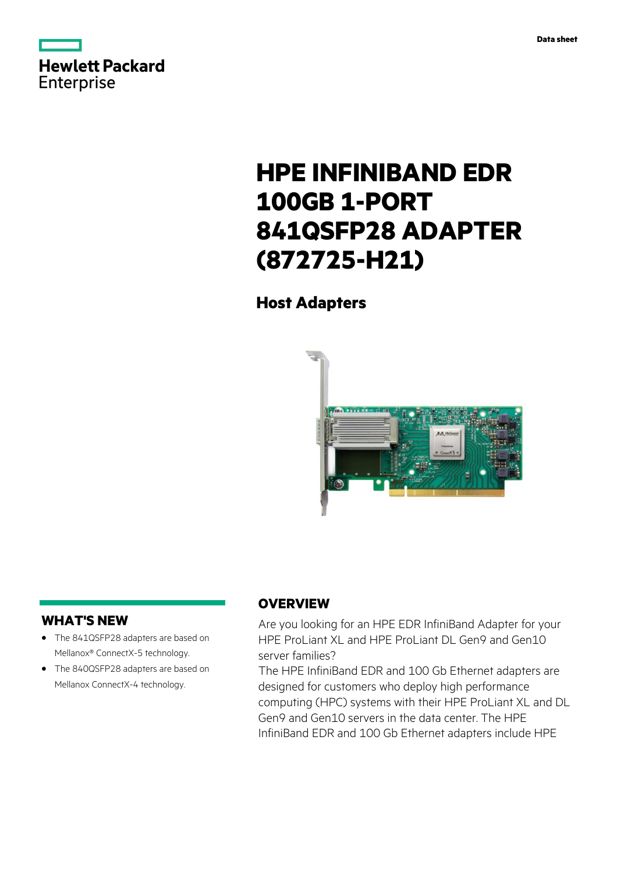

# **HPE INFINIBAND EDR 100GB 1-PORT 841QSFP28 ADAPTER (872725-H21)**

# **Host Adapters**



### **WHAT'S NEW**

- **·** The 841QSFP28 adapters are based on Mellanox® ConnectX-5 technology.
- **·** The 840QSFP28 adapters are based on Mellanox ConnectX-4 technology.

## **OVERVIEW**

Are you looking for an HPE EDR InfiniBand Adapter for your HPE ProLiant XL and HPE ProLiant DL Gen9 and Gen10 server families?

The HPE InfiniBand EDR and 100 Gb Ethernet adapters are designed for customers who deploy high performance computing (HPC) systems with their HPE ProLiant XL and DL Gen9 and Gen10 servers in the data center. The HPE InfiniBand EDR and 100 Gb Ethernet adapters include HPE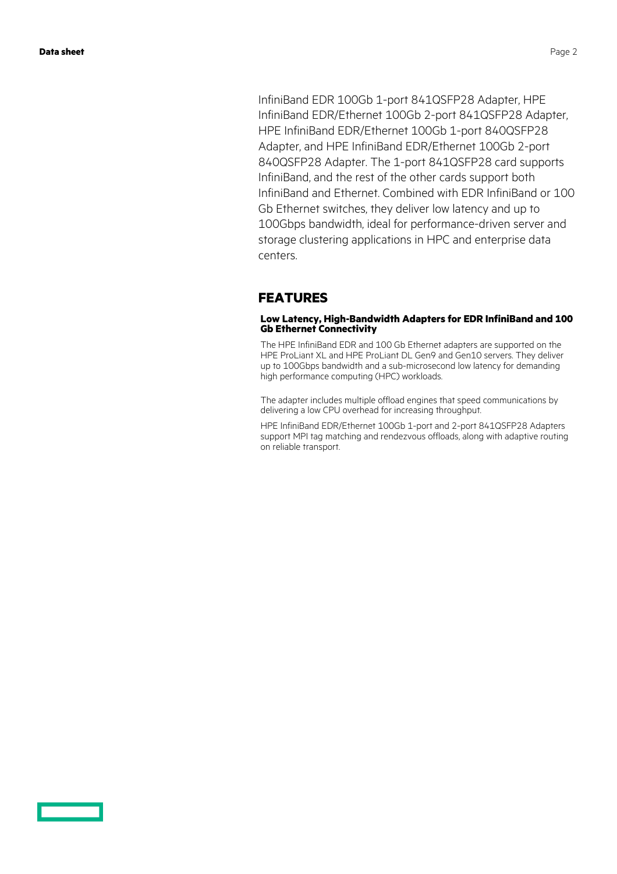InfiniBand EDR 100Gb 1-port 841QSFP28 Adapter, HPE InfiniBand EDR/Ethernet 100Gb 2-port 841QSFP28 Adapter, HPE InfiniBand EDR/Ethernet 100Gb 1-port 840QSFP28 Adapter, and HPE InfiniBand EDR/Ethernet 100Gb 2-port 840QSFP28 Adapter. The 1-port 841QSFP28 card supports InfiniBand, and the rest of the other cards support both InfiniBand and Ethernet. Combined with EDR InfiniBand or 100 Gb Ethernet switches, they deliver low latency and up to 100Gbps bandwidth, ideal for performance-driven server and storage clustering applications in HPC and enterprise data centers.

### **FEATURES**

### **Low Latency, High-Bandwidth Adapters for EDR InfiniBand and 100 Gb Ethernet Connectivity**

The HPE InfiniBand EDR and 100 Gb Ethernet adapters are supported on the HPE ProLiant XL and HPE ProLiant DL Gen9 and Gen10 servers. They deliver up to 100Gbps bandwidth and a sub-microsecond low latency for demanding high performance computing (HPC) workloads.

The adapter includes multiple offload engines that speed communications by delivering a low CPU overhead for increasing throughput.

HPE InfiniBand EDR/Ethernet 100Gb 1-port and 2-port 841QSFP28 Adapters support MPI tag matching and rendezvous offloads, along with adaptive routing on reliable transport.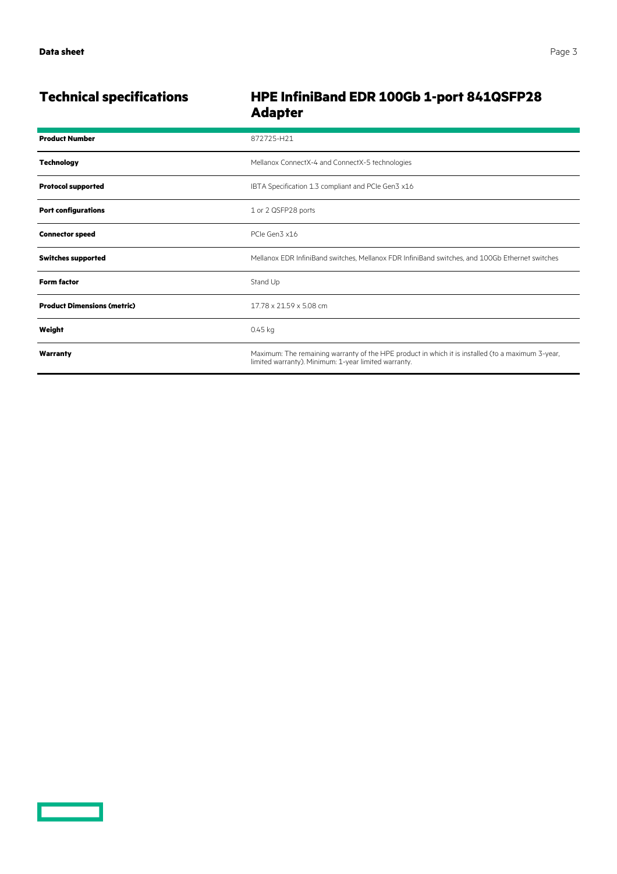<u>a sa saidh an san Saorann an S</u>

# **Technical specifications HPE InfiniBand EDR 100Gb 1-port 841QSFP28 Adapter**

| <b>Product Number</b>              | 872725-H21                                                                                                                                                |
|------------------------------------|-----------------------------------------------------------------------------------------------------------------------------------------------------------|
| <b>Technology</b>                  | Mellanox ConnectX-4 and ConnectX-5 technologies                                                                                                           |
| <b>Protocol supported</b>          | IBTA Specification 1.3 compliant and PCIe Gen3 x16                                                                                                        |
| <b>Port configurations</b>         | 1 or 2 QSFP28 ports                                                                                                                                       |
| <b>Connector speed</b>             | PCIe Gen3 x16                                                                                                                                             |
| <b>Switches supported</b>          | Mellanox EDR InfiniBand switches, Mellanox FDR InfiniBand switches, and 100Gb Ethernet switches                                                           |
| <b>Form factor</b>                 | Stand Up                                                                                                                                                  |
| <b>Product Dimensions (metric)</b> | 17.78 x 21.59 x 5.08 cm                                                                                                                                   |
| Weight                             | $0.45$ kg                                                                                                                                                 |
| Warranty                           | Maximum: The remaining warranty of the HPE product in which it is installed (to a maximum 3-year,<br>limited warranty). Minimum: 1-year limited warranty. |